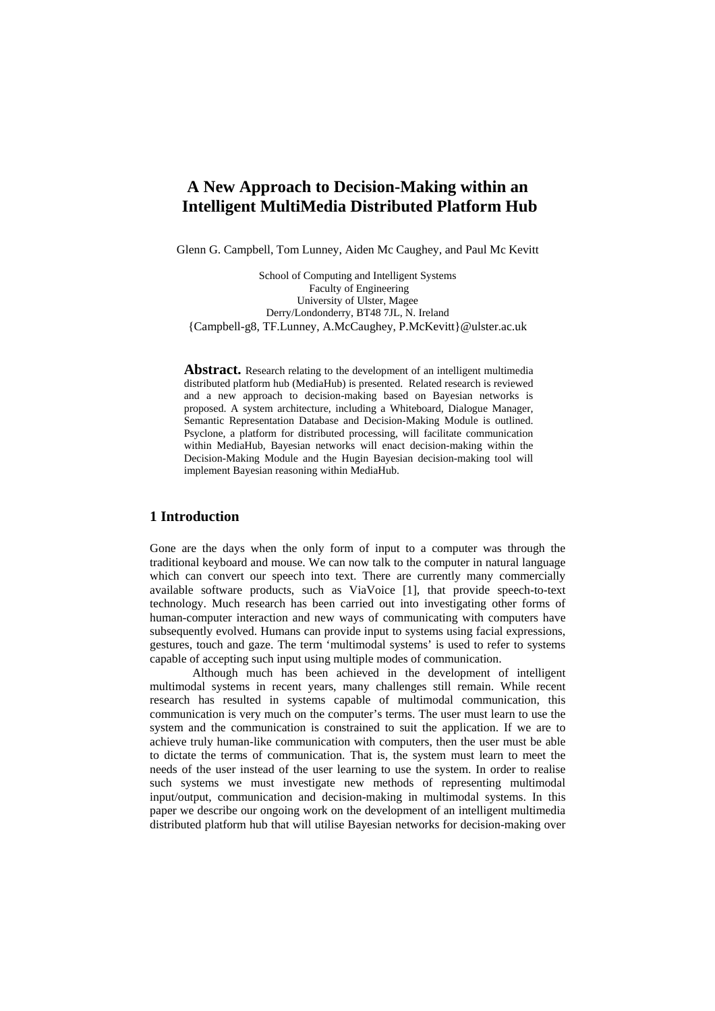# **A New Approach to Decision-Making within an Intelligent MultiMedia Distributed Platform Hub**

Glenn G. Campbell, Tom Lunney, Aiden Mc Caughey, and Paul Mc Kevitt

School of Computing and Intelligent Systems Faculty of Engineering University of Ulster, Magee Derry/Londonderry, BT48 7JL, N. Ireland {Campbell-g8, TF.Lunney, A.McCaughey, P.McKevitt}@ulster.ac.uk

Abstract. Research relating to the development of an intelligent multimedia distributed platform hub (MediaHub) is presented. Related research is reviewed and a new approach to decision-making based on Bayesian networks is proposed. A system architecture, including a Whiteboard, Dialogue Manager, Semantic Representation Database and Decision-Making Module is outlined. Psyclone, a platform for distributed processing, will facilitate communication within MediaHub, Bayesian networks will enact decision-making within the Decision-Making Module and the Hugin Bayesian decision-making tool will implement Bayesian reasoning within MediaHub.

## **1 Introduction**

Gone are the days when the only form of input to a computer was through the traditional keyboard and mouse. We can now talk to the computer in natural language which can convert our speech into text. There are currently many commercially available software products, such as ViaVoice [1], that provide speech-to-text technology. Much research has been carried out into investigating other forms of human-computer interaction and new ways of communicating with computers have subsequently evolved. Humans can provide input to systems using facial expressions, gestures, touch and gaze. The term 'multimodal systems' is used to refer to systems capable of accepting such input using multiple modes of communication.

 Although much has been achieved in the development of intelligent multimodal systems in recent years, many challenges still remain. While recent research has resulted in systems capable of multimodal communication, this communication is very much on the computer's terms. The user must learn to use the system and the communication is constrained to suit the application. If we are to achieve truly human-like communication with computers, then the user must be able to dictate the terms of communication. That is, the system must learn to meet the needs of the user instead of the user learning to use the system. In order to realise such systems we must investigate new methods of representing multimodal input/output, communication and decision-making in multimodal systems. In this paper we describe our ongoing work on the development of an intelligent multimedia distributed platform hub that will utilise Bayesian networks for decision-making over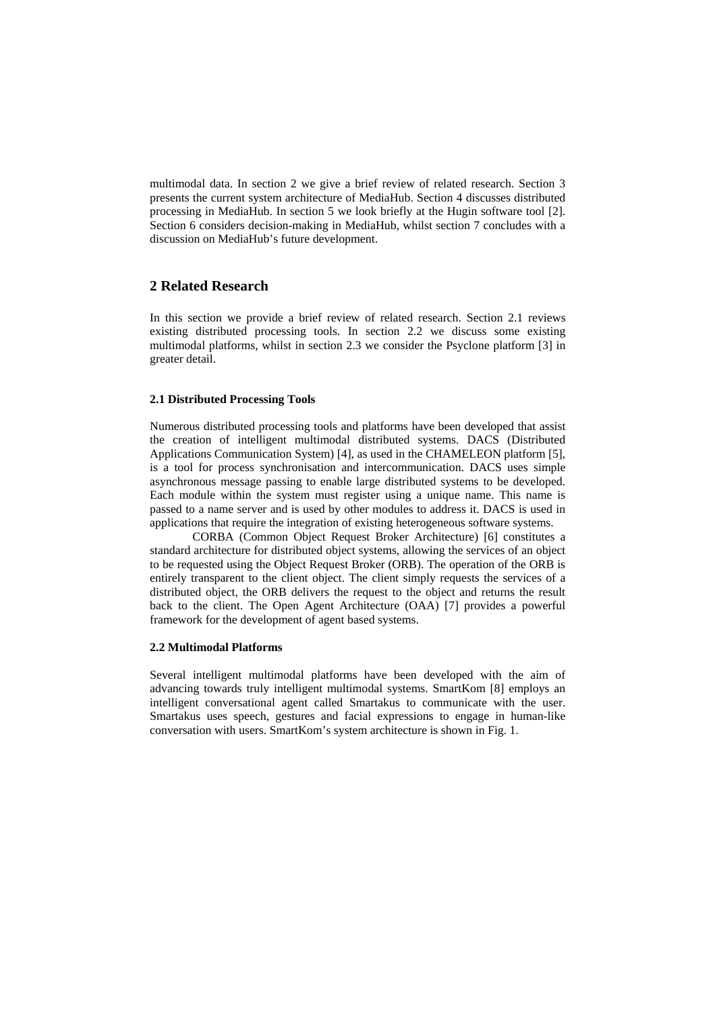multimodal data. In section 2 we give a brief review of related research. Section 3 presents the current system architecture of MediaHub. Section 4 discusses distributed processing in MediaHub. In section 5 we look briefly at the Hugin software tool [2]. Section 6 considers decision-making in MediaHub, whilst section 7 concludes with a discussion on MediaHub's future development.

# **2 Related Research**

In this section we provide a brief review of related research. Section 2.1 reviews existing distributed processing tools. In section 2.2 we discuss some existing multimodal platforms, whilst in section 2.3 we consider the Psyclone platform [3] in greater detail.

#### **2.1 Distributed Processing Tools**

Numerous distributed processing tools and platforms have been developed that assist the creation of intelligent multimodal distributed systems. DACS (Distributed Applications Communication System) [4], as used in the CHAMELEON platform [5], is a tool for process synchronisation and intercommunication. DACS uses simple asynchronous message passing to enable large distributed systems to be developed. Each module within the system must register using a unique name. This name is passed to a name server and is used by other modules to address it. DACS is used in applications that require the integration of existing heterogeneous software systems.

 CORBA (Common Object Request Broker Architecture) [6] constitutes a standard architecture for distributed object systems, allowing the services of an object to be requested using the Object Request Broker (ORB). The operation of the ORB is entirely transparent to the client object. The client simply requests the services of a distributed object, the ORB delivers the request to the object and returns the result back to the client. The Open Agent Architecture (OAA) [7] provides a powerful framework for the development of agent based systems.

#### **2.2 Multimodal Platforms**

Several intelligent multimodal platforms have been developed with the aim of advancing towards truly intelligent multimodal systems. SmartKom [8] employs an intelligent conversational agent called Smartakus to communicate with the user. Smartakus uses speech, gestures and facial expressions to engage in human-like conversation with users. SmartKom's system architecture is shown in Fig. 1.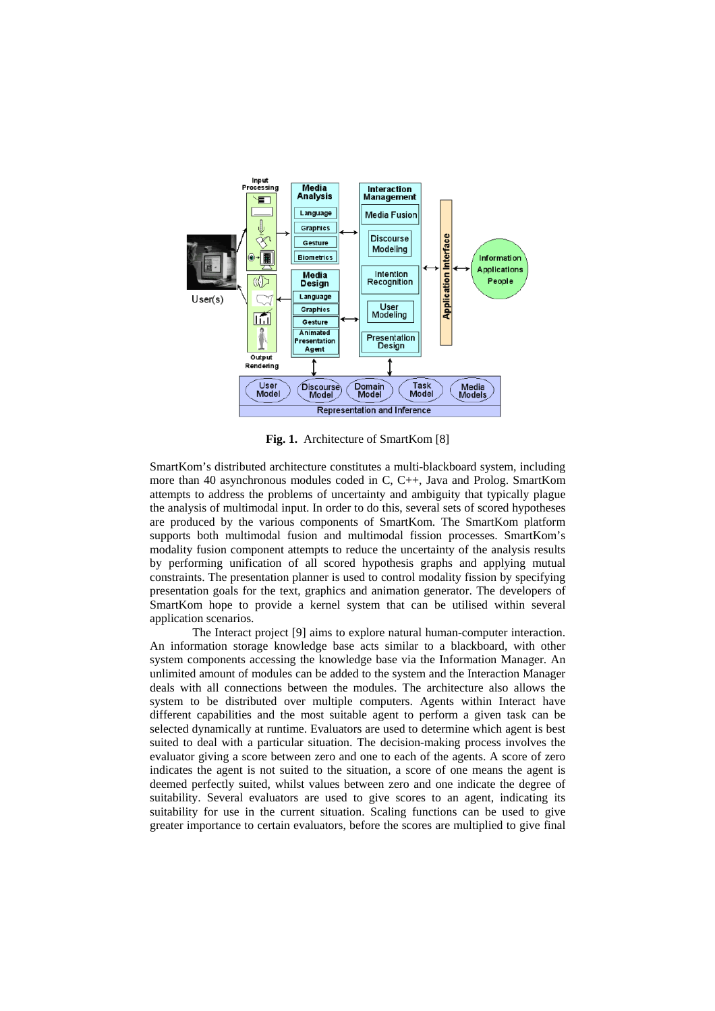

**Fig. 1.** Architecture of SmartKom [8]

SmartKom's distributed architecture constitutes a multi-blackboard system, including more than 40 asynchronous modules coded in C, C++, Java and Prolog. SmartKom attempts to address the problems of uncertainty and ambiguity that typically plague the analysis of multimodal input. In order to do this, several sets of scored hypotheses are produced by the various components of SmartKom. The SmartKom platform supports both multimodal fusion and multimodal fission processes. SmartKom's modality fusion component attempts to reduce the uncertainty of the analysis results by performing unification of all scored hypothesis graphs and applying mutual constraints. The presentation planner is used to control modality fission by specifying presentation goals for the text, graphics and animation generator. The developers of SmartKom hope to provide a kernel system that can be utilised within several application scenarios.

The Interact project [9] aims to explore natural human-computer interaction. An information storage knowledge base acts similar to a blackboard, with other system components accessing the knowledge base via the Information Manager. An unlimited amount of modules can be added to the system and the Interaction Manager deals with all connections between the modules. The architecture also allows the system to be distributed over multiple computers. Agents within Interact have different capabilities and the most suitable agent to perform a given task can be selected dynamically at runtime. Evaluators are used to determine which agent is best suited to deal with a particular situation. The decision-making process involves the evaluator giving a score between zero and one to each of the agents. A score of zero indicates the agent is not suited to the situation, a score of one means the agent is deemed perfectly suited, whilst values between zero and one indicate the degree of suitability. Several evaluators are used to give scores to an agent, indicating its suitability for use in the current situation. Scaling functions can be used to give greater importance to certain evaluators, before the scores are multiplied to give final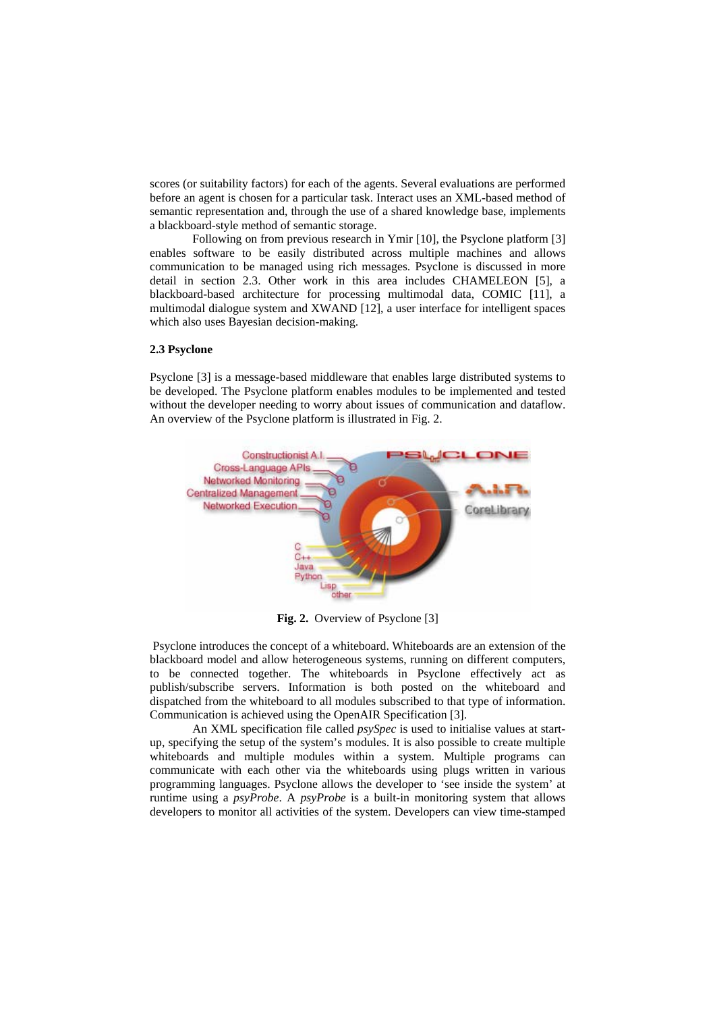scores (or suitability factors) for each of the agents. Several evaluations are performed before an agent is chosen for a particular task. Interact uses an XML-based method of semantic representation and, through the use of a shared knowledge base, implements a blackboard-style method of semantic storage.

Following on from previous research in Ymir [10], the Psyclone platform [3] enables software to be easily distributed across multiple machines and allows communication to be managed using rich messages. Psyclone is discussed in more detail in section 2.3. Other work in this area includes CHAMELEON [5], a blackboard-based architecture for processing multimodal data, COMIC [11], a multimodal dialogue system and XWAND [12], a user interface for intelligent spaces which also uses Bayesian decision-making.

#### **2.3 Psyclone**

Psyclone [3] is a message-based middleware that enables large distributed systems to be developed. The Psyclone platform enables modules to be implemented and tested without the developer needing to worry about issues of communication and dataflow. An overview of the Psyclone platform is illustrated in Fig. 2.



**Fig. 2.** Overview of Psyclone [3]

 Psyclone introduces the concept of a whiteboard. Whiteboards are an extension of the blackboard model and allow heterogeneous systems, running on different computers, to be connected together. The whiteboards in Psyclone effectively act as publish/subscribe servers. Information is both posted on the whiteboard and dispatched from the whiteboard to all modules subscribed to that type of information. Communication is achieved using the OpenAIR Specification [3].

An XML specification file called *psySpec* is used to initialise values at startup, specifying the setup of the system's modules. It is also possible to create multiple whiteboards and multiple modules within a system. Multiple programs can communicate with each other via the whiteboards using plugs written in various programming languages. Psyclone allows the developer to 'see inside the system' at runtime using a *psyProbe*. A *psyProbe* is a built-in monitoring system that allows developers to monitor all activities of the system. Developers can view time-stamped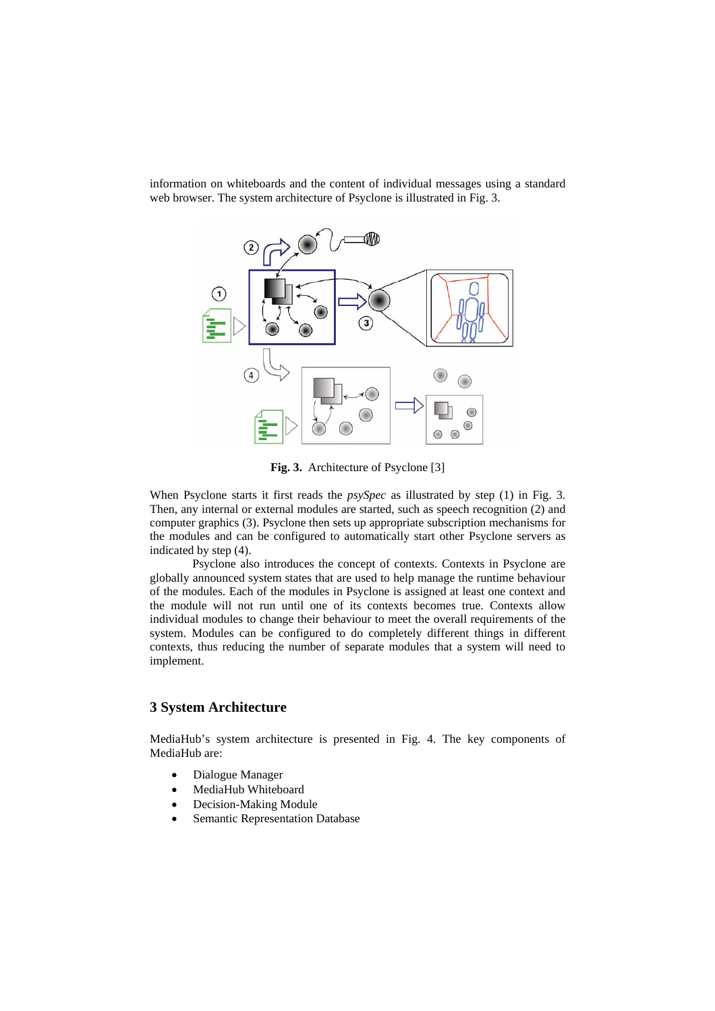

information on whiteboards and the content of individual messages using a standard web browser. The system architecture of Psyclone is illustrated in Fig. 3.

**Fig. 3.** Architecture of Psyclone [3]

When Psyclone starts it first reads the *psySpec* as illustrated by step (1) in Fig. 3. Then, any internal or external modules are started, such as speech recognition (2) and computer graphics (3). Psyclone then sets up appropriate subscription mechanisms for the modules and can be configured to automatically start other Psyclone servers as indicated by step (4).

Psyclone also introduces the concept of contexts. Contexts in Psyclone are globally announced system states that are used to help manage the runtime behaviour of the modules. Each of the modules in Psyclone is assigned at least one context and the module will not run until one of its contexts becomes true. Contexts allow individual modules to change their behaviour to meet the overall requirements of the system. Modules can be configured to do completely different things in different contexts, thus reducing the number of separate modules that a system will need to implement.

## **3 System Architecture**

MediaHub's system architecture is presented in Fig. 4. The key components of MediaHub are:

- Dialogue Manager
- MediaHub Whiteboard
- Decision-Making Module
- Semantic Representation Database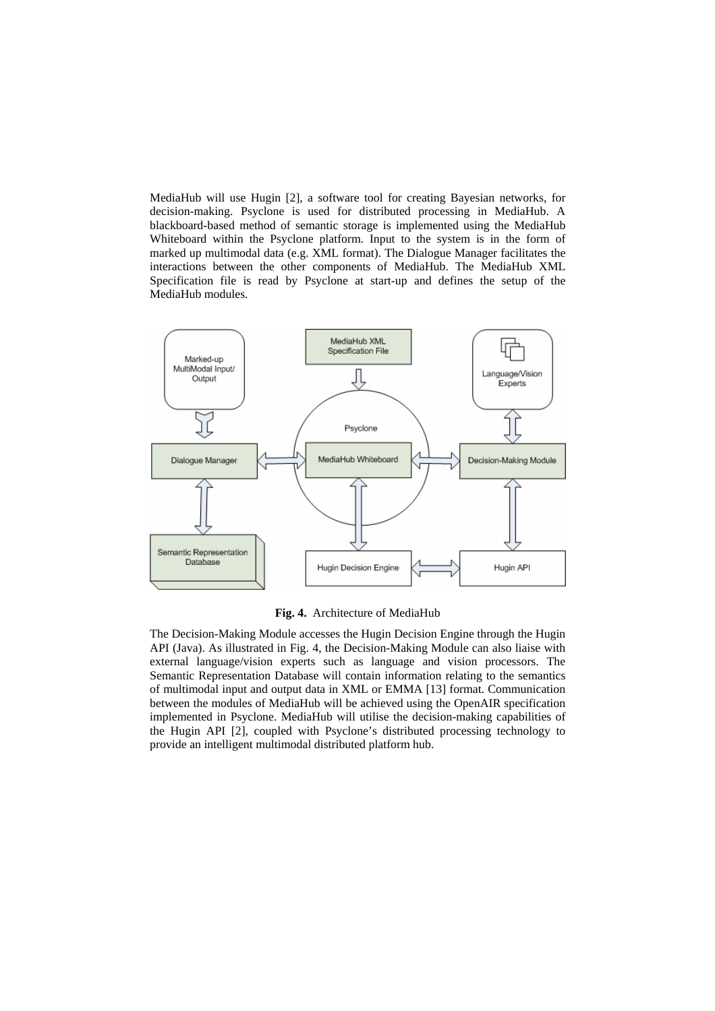MediaHub will use Hugin [2], a software tool for creating Bayesian networks, for decision-making. Psyclone is used for distributed processing in MediaHub. A blackboard-based method of semantic storage is implemented using the MediaHub Whiteboard within the Psyclone platform. Input to the system is in the form of marked up multimodal data (e.g. XML format). The Dialogue Manager facilitates the interactions between the other components of MediaHub. The MediaHub XML Specification file is read by Psyclone at start-up and defines the setup of the MediaHub modules.



**Fig. 4.** Architecture of MediaHub

The Decision-Making Module accesses the Hugin Decision Engine through the Hugin API (Java). As illustrated in Fig. 4, the Decision-Making Module can also liaise with external language/vision experts such as language and vision processors. The Semantic Representation Database will contain information relating to the semantics of multimodal input and output data in XML or EMMA [13] format. Communication between the modules of MediaHub will be achieved using the OpenAIR specification implemented in Psyclone. MediaHub will utilise the decision-making capabilities of the Hugin API [2], coupled with Psyclone's distributed processing technology to provide an intelligent multimodal distributed platform hub.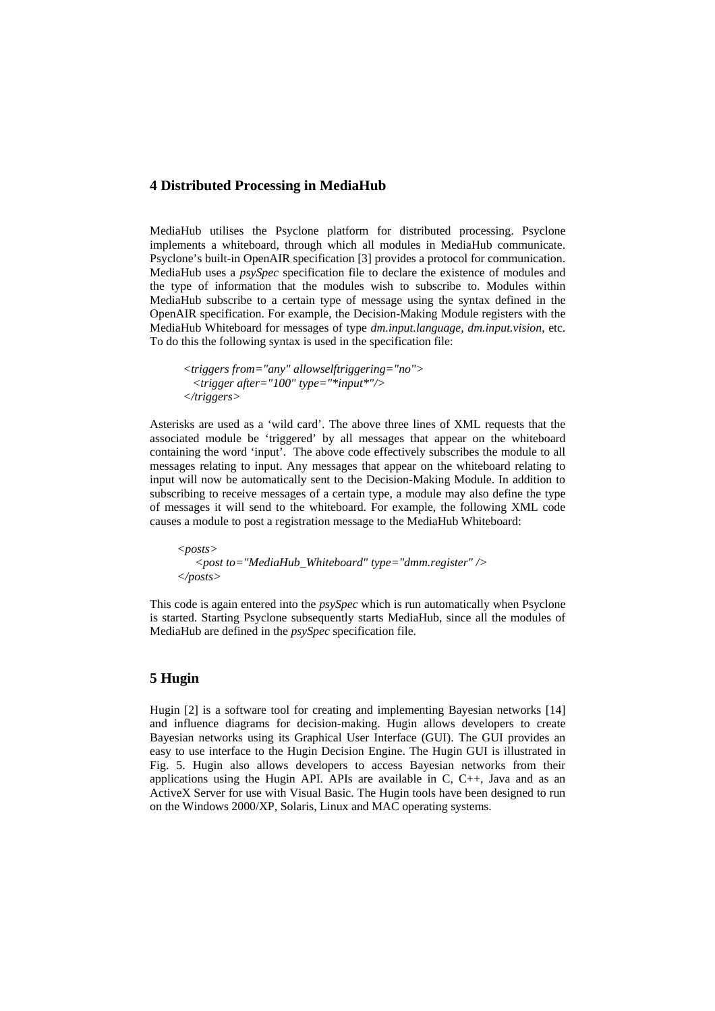## **4 Distributed Processing in MediaHub**

MediaHub utilises the Psyclone platform for distributed processing. Psyclone implements a whiteboard, through which all modules in MediaHub communicate. Psyclone's built-in OpenAIR specification [3] provides a protocol for communication. MediaHub uses a *psySpec* specification file to declare the existence of modules and the type of information that the modules wish to subscribe to. Modules within MediaHub subscribe to a certain type of message using the syntax defined in the OpenAIR specification. For example, the Decision-Making Module registers with the MediaHub Whiteboard for messages of type *dm.input.language*, *dm.input.vision*, etc. To do this the following syntax is used in the specification file:

```
 <triggers from="any" allowselftriggering="no"> 
 <trigger after="100" type="*input*"/> 
</triggers>
```
Asterisks are used as a 'wild card'. The above three lines of XML requests that the associated module be 'triggered' by all messages that appear on the whiteboard containing the word 'input'. The above code effectively subscribes the module to all messages relating to input. Any messages that appear on the whiteboard relating to input will now be automatically sent to the Decision-Making Module. In addition to subscribing to receive messages of a certain type, a module may also define the type of messages it will send to the whiteboard. For example, the following XML code causes a module to post a registration message to the MediaHub Whiteboard:

 *<posts> <post to="MediaHub\_Whiteboard" type="dmm.register" /> </posts>* 

This code is again entered into the *psySpec* which is run automatically when Psyclone is started. Starting Psyclone subsequently starts MediaHub, since all the modules of MediaHub are defined in the *psySpec* specification file.

# **5 Hugin**

Hugin [2] is a software tool for creating and implementing Bayesian networks [14] and influence diagrams for decision-making. Hugin allows developers to create Bayesian networks using its Graphical User Interface (GUI). The GUI provides an easy to use interface to the Hugin Decision Engine. The Hugin GUI is illustrated in Fig. 5. Hugin also allows developers to access Bayesian networks from their applications using the Hugin API. APIs are available in C, C++, Java and as an ActiveX Server for use with Visual Basic. The Hugin tools have been designed to run on the Windows 2000/XP, Solaris, Linux and MAC operating systems.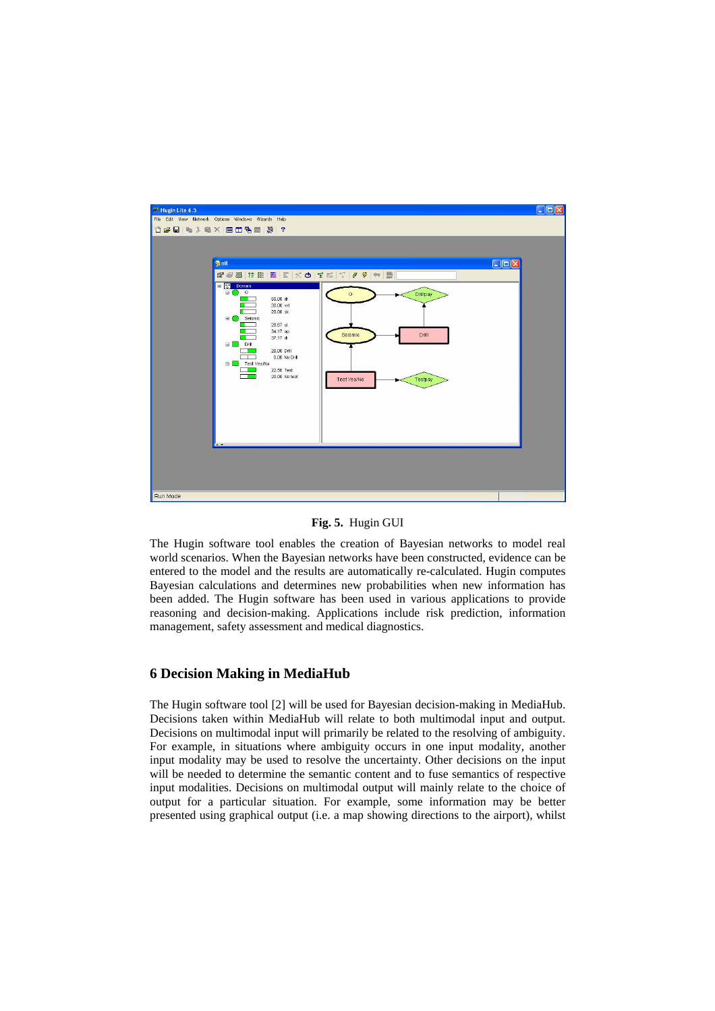

#### **Fig. 5.** Hugin GUI

The Hugin software tool enables the creation of Bayesian networks to model real world scenarios. When the Bayesian networks have been constructed, evidence can be entered to the model and the results are automatically re-calculated. Hugin computes Bayesian calculations and determines new probabilities when new information has been added. The Hugin software has been used in various applications to provide reasoning and decision-making. Applications include risk prediction, information management, safety assessment and medical diagnostics.

## **6 Decision Making in MediaHub**

The Hugin software tool [2] will be used for Bayesian decision-making in MediaHub. Decisions taken within MediaHub will relate to both multimodal input and output. Decisions on multimodal input will primarily be related to the resolving of ambiguity. For example, in situations where ambiguity occurs in one input modality, another input modality may be used to resolve the uncertainty. Other decisions on the input will be needed to determine the semantic content and to fuse semantics of respective input modalities. Decisions on multimodal output will mainly relate to the choice of output for a particular situation. For example, some information may be better presented using graphical output (i.e. a map showing directions to the airport), whilst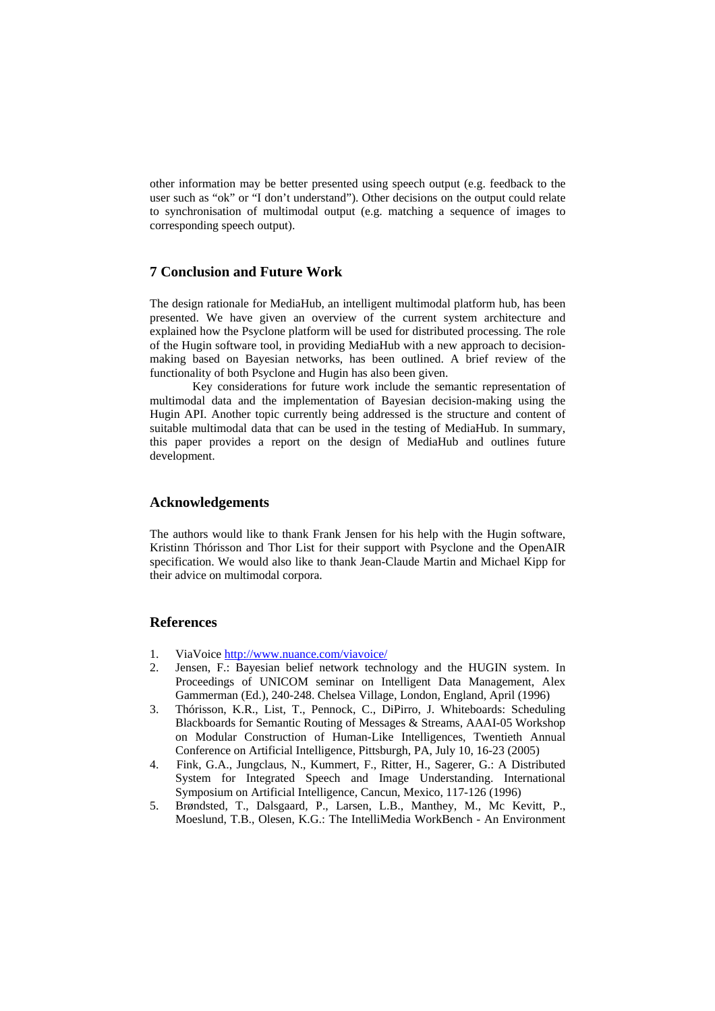other information may be better presented using speech output (e.g. feedback to the user such as "ok" or "I don't understand"). Other decisions on the output could relate to synchronisation of multimodal output (e.g. matching a sequence of images to corresponding speech output).

# **7 Conclusion and Future Work**

The design rationale for MediaHub, an intelligent multimodal platform hub, has been presented. We have given an overview of the current system architecture and explained how the Psyclone platform will be used for distributed processing. The role of the Hugin software tool, in providing MediaHub with a new approach to decisionmaking based on Bayesian networks, has been outlined. A brief review of the functionality of both Psyclone and Hugin has also been given.

 Key considerations for future work include the semantic representation of multimodal data and the implementation of Bayesian decision-making using the Hugin API. Another topic currently being addressed is the structure and content of suitable multimodal data that can be used in the testing of MediaHub. In summary, this paper provides a report on the design of MediaHub and outlines future development.

#### **Acknowledgements**

The authors would like to thank Frank Jensen for his help with the Hugin software, Kristinn Thórisson and Thor List for their support with Psyclone and the OpenAIR specification. We would also like to thank Jean-Claude Martin and Michael Kipp for their advice on multimodal corpora.

## **References**

- 1. ViaVoice <http://www.nuance.com/viavoice/>
- 2. Jensen, F.: Bayesian belief network technology and the HUGIN system. In Proceedings of UNICOM seminar on Intelligent Data Management, Alex Gammerman (Ed.), 240-248. Chelsea Village, London, England, April (1996)
- 3. Thórisson, K.R., List, T., Pennock, C., DiPirro, J. Whiteboards: Scheduling Blackboards for Semantic Routing of Messages & Streams, AAAI-05 Workshop on Modular Construction of Human-Like Intelligences, Twentieth Annual Conference on Artificial Intelligence, Pittsburgh, PA, July 10, 16-23 (2005)
- 4. Fink, G.A., Jungclaus, N., Kummert, F., Ritter, H., Sagerer, G.: A Distributed System for Integrated Speech and Image Understanding. International Symposium on Artificial Intelligence, Cancun, Mexico, 117-126 (1996)
- 5. Brøndsted, T., Dalsgaard, P., Larsen, L.B., Manthey, M., Mc Kevitt, P., Moeslund, T.B., Olesen, K.G.: The IntelliMedia WorkBench - An Environment